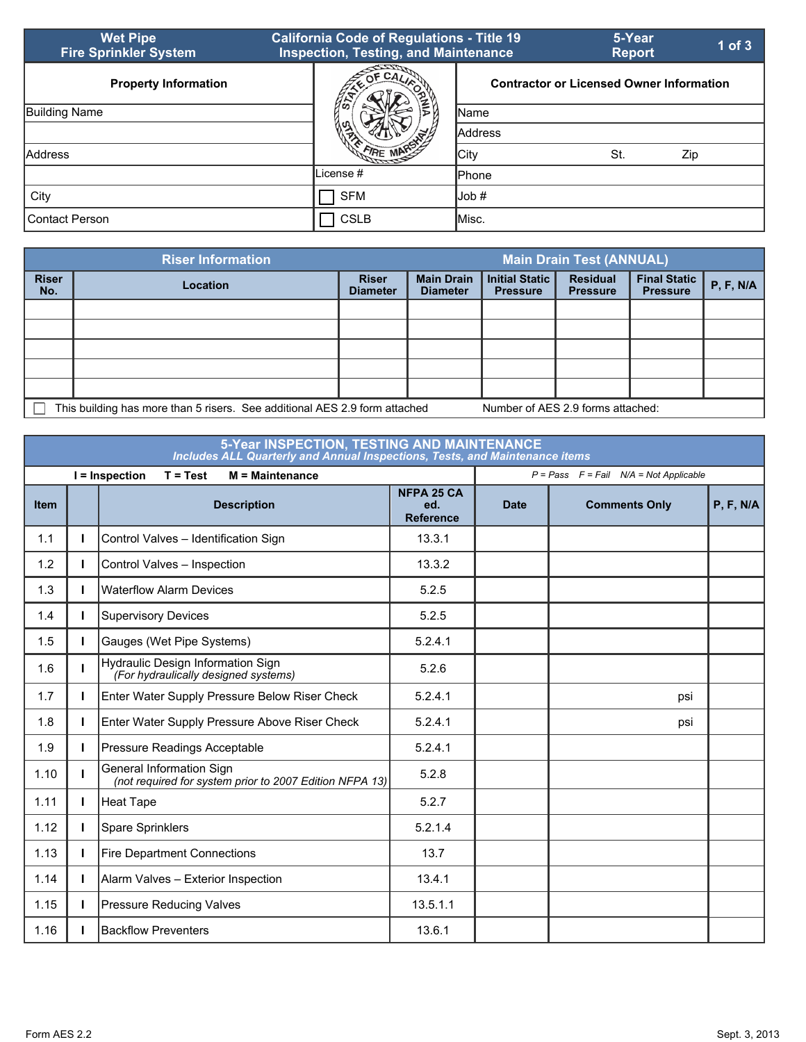| <b>Wet Pipe</b><br><b>Fire Sprinkler System</b> | <b>California Code of Regulations - Title 19</b><br><b>Inspection, Testing, and Maintenance</b> |                | 5-Year<br><b>Report</b>                         | 1 of $3$ |
|-------------------------------------------------|-------------------------------------------------------------------------------------------------|----------------|-------------------------------------------------|----------|
| <b>Property Information</b>                     | OF CAL                                                                                          |                | <b>Contractor or Licensed Owner Information</b> |          |
| <b>Building Name</b>                            |                                                                                                 | <b>Name</b>    |                                                 |          |
|                                                 |                                                                                                 | <b>Address</b> |                                                 |          |
| Address                                         |                                                                                                 | City           | St.                                             | Zip      |
|                                                 | License #                                                                                       | <b>I</b> Phone |                                                 |          |
| City                                            | <b>SFM</b>                                                                                      | Job #          |                                                 |          |
| <b>Contact Person</b>                           | <b>CSLB</b>                                                                                     | lMisc.         |                                                 |          |

|                     | <b>Riser Information</b>                                                                                        |                                 |                                      |                                          | <b>Main Drain Test (ANNUAL)</b>    |                                        |           |
|---------------------|-----------------------------------------------------------------------------------------------------------------|---------------------------------|--------------------------------------|------------------------------------------|------------------------------------|----------------------------------------|-----------|
| <b>Riser</b><br>No. | Location                                                                                                        | <b>Riser</b><br><b>Diameter</b> | <b>Main Drain</b><br><b>Diameter</b> | <b>Initial Static</b><br><b>Pressure</b> | <b>Residual</b><br><b>Pressure</b> | <b>Final Static</b><br><b>Pressure</b> | P, F, N/A |
|                     |                                                                                                                 |                                 |                                      |                                          |                                    |                                        |           |
|                     |                                                                                                                 |                                 |                                      |                                          |                                    |                                        |           |
|                     |                                                                                                                 |                                 |                                      |                                          |                                    |                                        |           |
|                     |                                                                                                                 |                                 |                                      |                                          |                                    |                                        |           |
|                     |                                                                                                                 |                                 |                                      |                                          |                                    |                                        |           |
|                     | This building has more than 5 risers. See additional AES 2.9 form attached<br>Number of AES 2.9 forms attached: |                                 |                                      |                                          |                                    |                                        |           |

## **5-Year INSPECTION, TESTING AND MAINTENANCE** *Includes ALL Quarterly and Annual Inspections, Tests, and Maintenance items*

|             |   | I = Inspection<br>$T = Test$<br>$M =$ Maintenance                                   | $P = Pass$ $F = Fail$ $N/A = Not Applicable$ |             |                      |           |
|-------------|---|-------------------------------------------------------------------------------------|----------------------------------------------|-------------|----------------------|-----------|
| <b>Item</b> |   | <b>Description</b>                                                                  | <b>NFPA 25 CA</b><br>ed.<br><b>Reference</b> | <b>Date</b> | <b>Comments Only</b> | P, F, N/A |
| 1.1         |   | Control Valves - Identification Sign                                                | 13.3.1                                       |             |                      |           |
| 1.2         |   | Control Valves - Inspection                                                         | 13.3.2                                       |             |                      |           |
| 1.3         |   | <b>Waterflow Alarm Devices</b>                                                      | 5.2.5                                        |             |                      |           |
| 1.4         |   | <b>Supervisory Devices</b>                                                          | 5.2.5                                        |             |                      |           |
| 1.5         |   | Gauges (Wet Pipe Systems)                                                           | 5.2.4.1                                      |             |                      |           |
| 1.6         |   | Hydraulic Design Information Sign<br>(For hydraulically designed systems)           | 5.2.6                                        |             |                      |           |
| 1.7         |   | Enter Water Supply Pressure Below Riser Check                                       | 5.2.4.1                                      |             | psi                  |           |
| 1.8         | н | Enter Water Supply Pressure Above Riser Check                                       | 5.2.4.1                                      |             | psi                  |           |
| 1.9         | н | Pressure Readings Acceptable                                                        | 5.2.4.1                                      |             |                      |           |
| 1.10        |   | General Information Sign<br>(not required for system prior to 2007 Edition NFPA 13) | 5.2.8                                        |             |                      |           |
| 1.11        |   | <b>Heat Tape</b>                                                                    | 5.2.7                                        |             |                      |           |
| 1.12        | L | Spare Sprinklers                                                                    | 5.2.1.4                                      |             |                      |           |
| 1.13        | L | <b>Fire Department Connections</b>                                                  | 13.7                                         |             |                      |           |
| 1.14        |   | Alarm Valves - Exterior Inspection                                                  | 13.4.1                                       |             |                      |           |
| 1.15        |   | <b>Pressure Reducing Valves</b>                                                     | 13.5.1.1                                     |             |                      |           |
| 1.16        |   | <b>Backflow Preventers</b>                                                          | 13.6.1                                       |             |                      |           |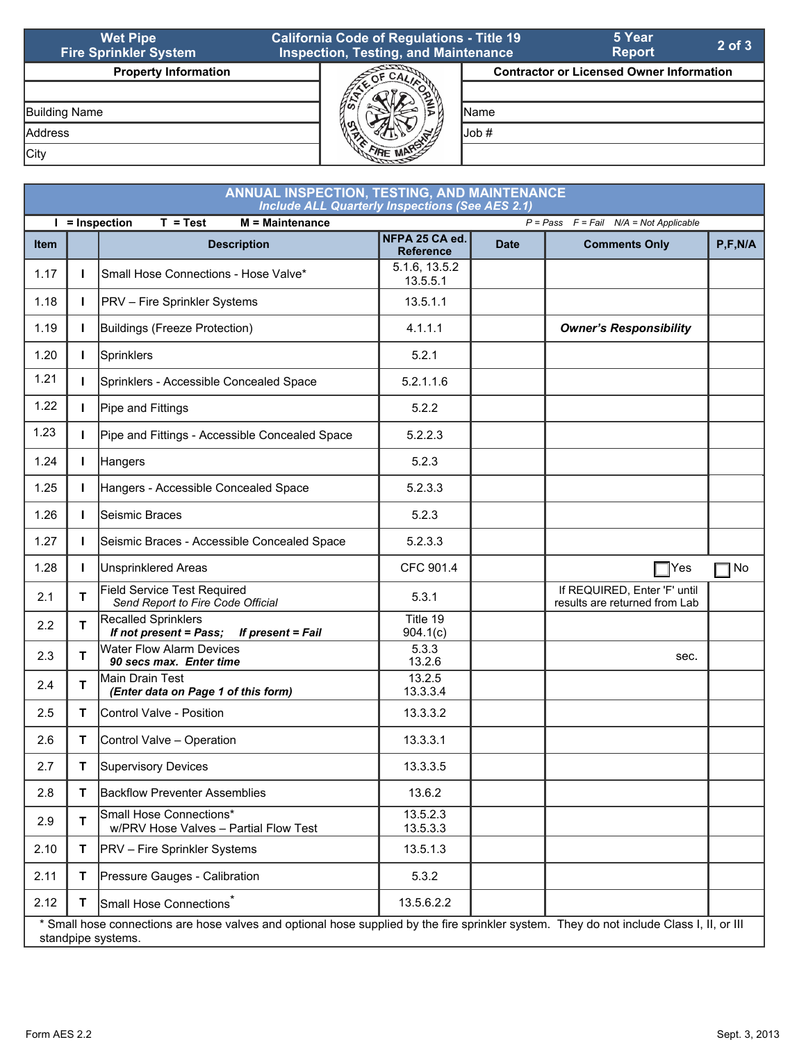| <b>Wet Pipe</b><br><b>Fire Sprinkler System</b> | <b>California Code of Regulations - Title 19</b><br><b>Inspection, Testing, and Maintenance</b> |       | 5 Year<br><b>Report</b>                         | $2$ of $3$ |
|-------------------------------------------------|-------------------------------------------------------------------------------------------------|-------|-------------------------------------------------|------------|
| <b>Property Information</b>                     |                                                                                                 |       | <b>Contractor or Licensed Owner Information</b> |            |
|                                                 |                                                                                                 |       |                                                 |            |
| Building Name                                   |                                                                                                 | lName |                                                 |            |
| <b>Address</b>                                  |                                                                                                 | Uob # |                                                 |            |
| City                                            |                                                                                                 |       |                                                 |            |

| ANNUAL INSPECTION, TESTING, AND MAINTENANCE<br><b>Include ALL Quarterly Inspections (See AES 2.1)</b> |                                                                                                 |                                                                                                                                                                 |                                    |             |                                                               |             |  |  |  |
|-------------------------------------------------------------------------------------------------------|-------------------------------------------------------------------------------------------------|-----------------------------------------------------------------------------------------------------------------------------------------------------------------|------------------------------------|-------------|---------------------------------------------------------------|-------------|--|--|--|
| $\mathbf{I}$                                                                                          | $M =$ Maintenance<br>= Inspection<br>$T = Test$<br>$P = Pass$ $F = Fail$ $N/A = Not$ Applicable |                                                                                                                                                                 |                                    |             |                                                               |             |  |  |  |
| Item                                                                                                  |                                                                                                 | <b>Description</b>                                                                                                                                              | NFPA 25 CA ed.<br><b>Reference</b> | <b>Date</b> | <b>Comments Only</b>                                          | P, F, N/A   |  |  |  |
| 1.17                                                                                                  | L                                                                                               | Small Hose Connections - Hose Valve*                                                                                                                            | 5.1.6, 13.5.2<br>13.5.5.1          |             |                                                               |             |  |  |  |
| 1.18                                                                                                  | $\mathbf{I}$                                                                                    | <b>PRV</b> - Fire Sprinkler Systems                                                                                                                             | 13.5.1.1                           |             |                                                               |             |  |  |  |
| 1.19                                                                                                  | $\mathbf{I}$                                                                                    | Buildings (Freeze Protection)                                                                                                                                   | 4.1.1.1                            |             | <b>Owner's Responsibility</b>                                 |             |  |  |  |
| 1.20                                                                                                  | $\mathbf{I}$                                                                                    | Sprinklers                                                                                                                                                      | 5.2.1                              |             |                                                               |             |  |  |  |
| 1.21                                                                                                  | I.                                                                                              | Sprinklers - Accessible Concealed Space                                                                                                                         | 5.2.1.1.6                          |             |                                                               |             |  |  |  |
| 1.22                                                                                                  | $\mathbf{I}$                                                                                    | Pipe and Fittings                                                                                                                                               | 5.2.2                              |             |                                                               |             |  |  |  |
| 1.23                                                                                                  | $\mathbf{I}$                                                                                    | Pipe and Fittings - Accessible Concealed Space                                                                                                                  | 5.2.2.3                            |             |                                                               |             |  |  |  |
| 1.24                                                                                                  | $\mathbf{I}$                                                                                    | Hangers                                                                                                                                                         | 5.2.3                              |             |                                                               |             |  |  |  |
| 1.25                                                                                                  | $\mathbf{I}$                                                                                    | Hangers - Accessible Concealed Space                                                                                                                            | 5.2.3.3                            |             |                                                               |             |  |  |  |
| 1.26                                                                                                  | $\mathbf{I}$                                                                                    | Seismic Braces                                                                                                                                                  | 5.2.3                              |             |                                                               |             |  |  |  |
| 1.27                                                                                                  | $\mathbf{I}$                                                                                    | Seismic Braces - Accessible Concealed Space                                                                                                                     | 5.2.3.3                            |             |                                                               |             |  |  |  |
| 1.28                                                                                                  | $\mathbf{I}$                                                                                    | <b>Unsprinklered Areas</b>                                                                                                                                      | CFC 901.4                          |             | $\sqsupset$ Yes                                               | $\sqcap$ No |  |  |  |
| 2.1                                                                                                   | T.                                                                                              | <b>Field Service Test Required</b><br>Send Report to Fire Code Official                                                                                         | 5.3.1                              |             | If REQUIRED, Enter 'F' until<br>results are returned from Lab |             |  |  |  |
| 2.2                                                                                                   | T.                                                                                              | <b>Recalled Sprinklers</b><br>If not present = Pass;<br>If present = Fail                                                                                       | Title 19<br>904.1(c)               |             |                                                               |             |  |  |  |
| 2.3                                                                                                   | T                                                                                               | <b>Water Flow Alarm Devices</b><br>90 secs max. Enter time                                                                                                      | 5.3.3<br>13.2.6                    |             | sec.                                                          |             |  |  |  |
| 2.4                                                                                                   | T.                                                                                              | Main Drain Test<br>(Enter data on Page 1 of this form)                                                                                                          | 13.2.5<br>13.3.3.4                 |             |                                                               |             |  |  |  |
| 2.5                                                                                                   | T.                                                                                              | Control Valve - Position                                                                                                                                        | 13.3.3.2                           |             |                                                               |             |  |  |  |
| 2.6                                                                                                   | T.                                                                                              | Control Valve - Operation                                                                                                                                       | 13.3.3.1                           |             |                                                               |             |  |  |  |
| 2.7                                                                                                   | т                                                                                               | Supervisory Devices                                                                                                                                             | 13.3.3.5                           |             |                                                               |             |  |  |  |
| 2.8                                                                                                   | т                                                                                               | <b>Backflow Preventer Assemblies</b>                                                                                                                            | 13.6.2                             |             |                                                               |             |  |  |  |
| 2.9                                                                                                   | T                                                                                               | Small Hose Connections*<br>w/PRV Hose Valves - Partial Flow Test                                                                                                | 13.5.2.3<br>13.5.3.3               |             |                                                               |             |  |  |  |
| 2.10                                                                                                  | T.                                                                                              | <b>PRV</b> – Fire Sprinkler Systems                                                                                                                             | 13.5.1.3                           |             |                                                               |             |  |  |  |
| 2.11                                                                                                  | T.                                                                                              | Pressure Gauges - Calibration                                                                                                                                   | 5.3.2                              |             |                                                               |             |  |  |  |
| 2.12                                                                                                  | T                                                                                               | Small Hose Connections <sup>*</sup>                                                                                                                             | 13.5.6.2.2                         |             |                                                               |             |  |  |  |
|                                                                                                       |                                                                                                 | * Small hose connections are hose valves and optional hose supplied by the fire sprinkler system. They do not include Class I, II, or III<br>standpipe systems. |                                    |             |                                                               |             |  |  |  |